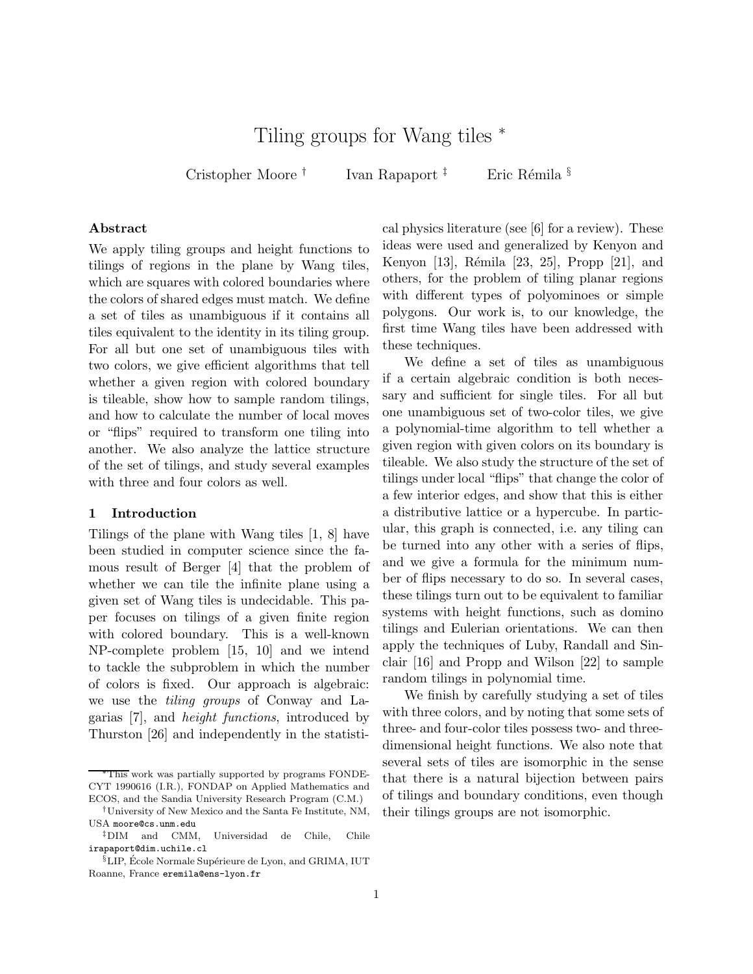# Tiling groups for Wang tiles <sup>∗</sup>

Cristopher Moore †

Ivan Rapaport<sup>†</sup> Eric Rémila §

#### Abstract

We apply tiling groups and height functions to tilings of regions in the plane by Wang tiles, which are squares with colored boundaries where the colors of shared edges must match. We define a set of tiles as unambiguous if it contains all tiles equivalent to the identity in its tiling group. For all but one set of unambiguous tiles with two colors, we give efficient algorithms that tell whether a given region with colored boundary is tileable, show how to sample random tilings, and how to calculate the number of local moves or "flips" required to transform one tiling into another. We also analyze the lattice structure of the set of tilings, and study several examples with three and four colors as well.

## 1 Introduction

Tilings of the plane with Wang tiles [1, 8] have been studied in computer science since the famous result of Berger [4] that the problem of whether we can tile the infinite plane using a given set of Wang tiles is undecidable. This paper focuses on tilings of a given finite region with colored boundary. This is a well-known NP-complete problem [15, 10] and we intend to tackle the subproblem in which the number of colors is fixed. Our approach is algebraic: we use the tiling groups of Conway and Lagarias [7], and height functions, introduced by Thurston [26] and independently in the statisti-

cal physics literature (see [6] for a review). These ideas were used and generalized by Kenyon and Kenyon [13], Rémila [23, 25], Propp [21], and others, for the problem of tiling planar regions with different types of polyominoes or simple polygons. Our work is, to our knowledge, the first time Wang tiles have been addressed with these techniques.

We define a set of tiles as unambiguous if a certain algebraic condition is both necessary and sufficient for single tiles. For all but one unambiguous set of two-color tiles, we give a polynomial-time algorithm to tell whether a given region with given colors on its boundary is tileable. We also study the structure of the set of tilings under local "flips" that change the color of a few interior edges, and show that this is either a distributive lattice or a hypercube. In particular, this graph is connected, i.e. any tiling can be turned into any other with a series of flips, and we give a formula for the minimum number of flips necessary to do so. In several cases, these tilings turn out to be equivalent to familiar systems with height functions, such as domino tilings and Eulerian orientations. We can then apply the techniques of Luby, Randall and Sinclair [16] and Propp and Wilson [22] to sample random tilings in polynomial time.

We finish by carefully studying a set of tiles with three colors, and by noting that some sets of three- and four-color tiles possess two- and threedimensional height functions. We also note that several sets of tiles are isomorphic in the sense that there is a natural bijection between pairs of tilings and boundary conditions, even though their tilings groups are not isomorphic.

<sup>∗</sup>This work was partially supported by programs FONDE-CYT 1990616 (I.R.), FONDAP on Applied Mathematics and ECOS, and the Sandia University Research Program (C.M.)

<sup>†</sup>University of New Mexico and the Santa Fe Institute, NM, USA moore@cs.unm.edu

<sup>‡</sup>DIM and CMM, Universidad de Chile, Chile irapaport@dim.uchile.cl

 $\S$ LIP, École Normale Supérieure de Lyon, and GRIMA, IUT Roanne, France eremila@ens-lyon.fr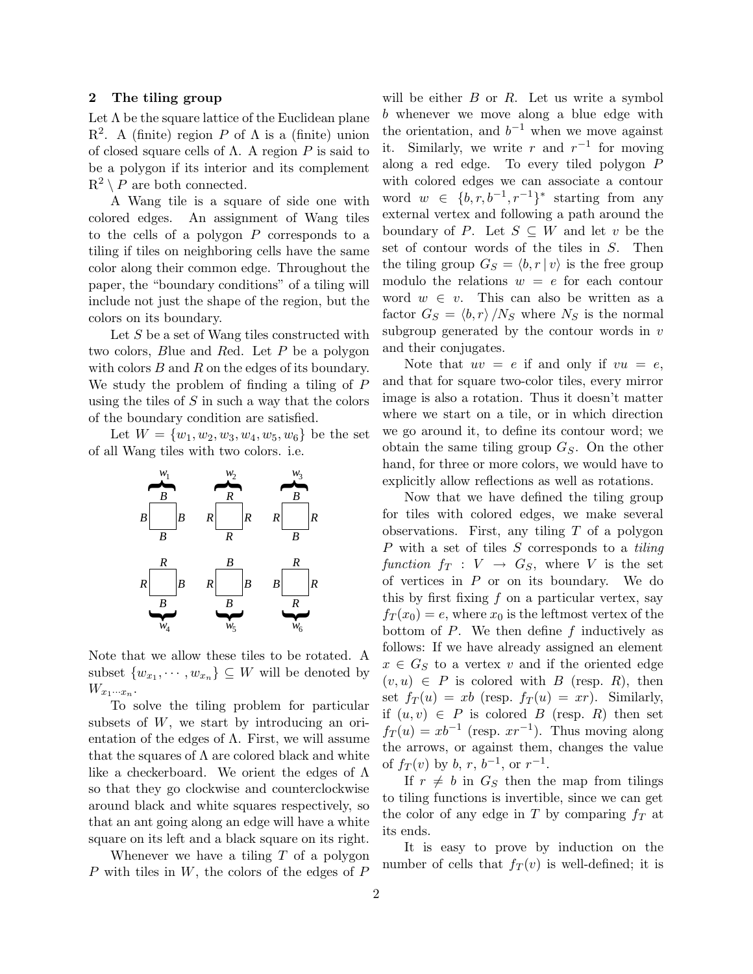#### 2 The tiling group

Let  $\Lambda$  be the square lattice of the Euclidean plane  $\mathbb{R}^2$ . A (finite) region P of  $\Lambda$  is a (finite) union of closed square cells of  $\Lambda$ . A region P is said to be a polygon if its interior and its complement  $R^2 \setminus P$  are both connected.

A Wang tile is a square of side one with colored edges. An assignment of Wang tiles to the cells of a polygon P corresponds to a tiling if tiles on neighboring cells have the same color along their common edge. Throughout the paper, the "boundary conditions" of a tiling will include not just the shape of the region, but the colors on its boundary.

Let S be a set of Wang tiles constructed with two colors, Blue and Red. Let P be a polygon with colors  $B$  and  $R$  on the edges of its boundary. We study the problem of finding a tiling of P using the tiles of  $S$  in such a way that the colors of the boundary condition are satisfied.

Let  $W = \{w_1, w_2, w_3, w_4, w_5, w_6\}$  be the set of all Wang tiles with two colors. i.e.



Note that we allow these tiles to be rotated. A subset  $\{w_{x_1}, \dots, w_{x_n}\} \subseteq W$  will be denoted by  $W_{x_1\cdots x_n}$ .

To solve the tiling problem for particular subsets of  $W$ , we start by introducing an orientation of the edges of  $\Lambda$ . First, we will assume that the squares of  $\Lambda$  are colored black and white like a checkerboard. We orient the edges of Λ so that they go clockwise and counterclockwise around black and white squares respectively, so that an ant going along an edge will have a white square on its left and a black square on its right.

Whenever we have a tiling  $T$  of a polygon  $P$  with tiles in  $W$ , the colors of the edges of  $P$ 

will be either  $B$  or  $R$ . Let us write a symbol b whenever we move along a blue edge with the orientation, and  $b^{-1}$  when we move against it. Similarly, we write r and  $r^{-1}$  for moving along a red edge. To every tiled polygon P with colored edges we can associate a contour word  $w \in \{b, r, b^{-1}, r^{-1}\}^*$  starting from any external vertex and following a path around the boundary of P. Let  $S \subseteq W$  and let v be the set of contour words of the tiles in S. Then the tiling group  $G_S = \langle b, r | v \rangle$  is the free group modulo the relations  $w = e$  for each contour word  $w \in v$ . This can also be written as a factor  $G_S = \langle b, r \rangle /N_S$  where  $N_S$  is the normal subgroup generated by the contour words in  $v$ and their conjugates.

Note that  $uv = e$  if and only if  $vu = e$ , and that for square two-color tiles, every mirror image is also a rotation. Thus it doesn't matter where we start on a tile, or in which direction we go around it, to define its contour word; we obtain the same tiling group  $G<sub>S</sub>$ . On the other hand, for three or more colors, we would have to explicitly allow reflections as well as rotations.

Now that we have defined the tiling group for tiles with colored edges, we make several observations. First, any tiling  $T$  of a polygon  $P$  with a set of tiles  $S$  corresponds to a tiling function  $f_T : V \to G_S$ , where V is the set of vertices in  $P$  or on its boundary. We do this by first fixing  $f$  on a particular vertex, say  $f_T(x_0) = e$ , where  $x_0$  is the leftmost vertex of the bottom of  $P$ . We then define  $f$  inductively as follows: If we have already assigned an element  $x \in G_S$  to a vertex v and if the oriented edge  $(v, u) \in P$  is colored with B (resp. R), then set  $f_T(u) = xb$  (resp.  $f_T(u) = xr$ ). Similarly, if  $(u, v) \in P$  is colored B (resp. R) then set  $f_T(u) = xb^{-1}$  (resp.  $xr^{-1}$ ). Thus moving along the arrows, or against them, changes the value of  $f_T(v)$  by b, r,  $b^{-1}$ , or  $r^{-1}$ .

If  $r \neq b$  in  $G_S$  then the map from tilings to tiling functions is invertible, since we can get the color of any edge in T by comparing  $f_T$  at its ends.

It is easy to prove by induction on the number of cells that  $f_T(v)$  is well-defined; it is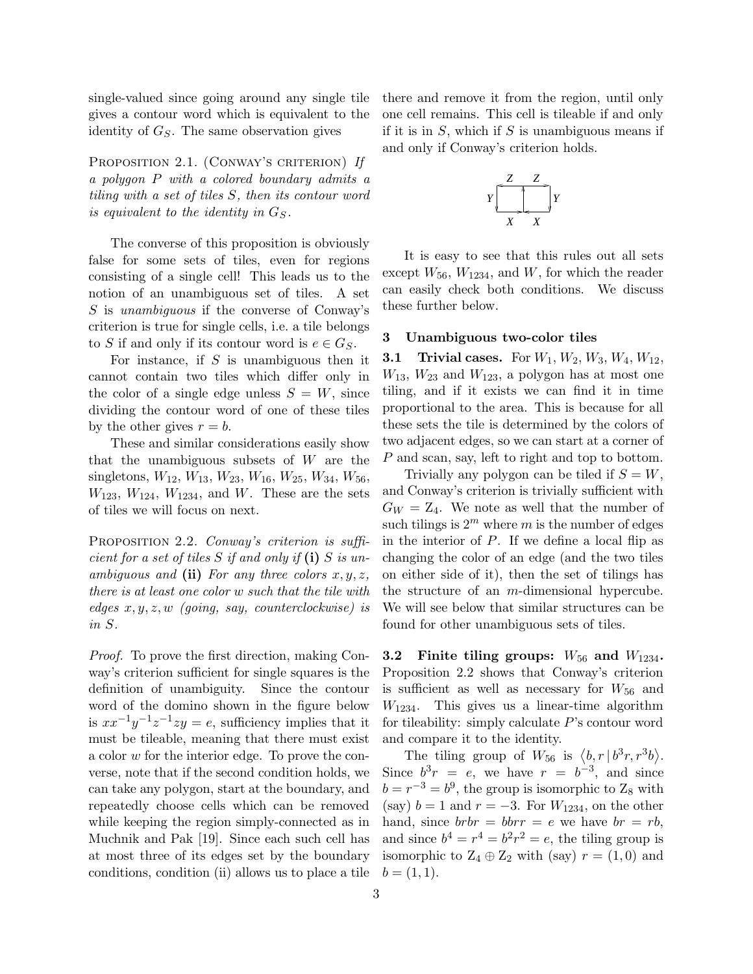single-valued since going around any single tile gives a contour word which is equivalent to the identity of  $G<sub>S</sub>$ . The same observation gives

PROPOSITION 2.1. (CONWAY'S CRITERION) If a polygon P with a colored boundary admits a tiling with a set of tiles S, then its contour word is equivalent to the identity in  $G<sub>S</sub>$ .

The converse of this proposition is obviously false for some sets of tiles, even for regions consisting of a single cell! This leads us to the notion of an unambiguous set of tiles. A set S is unambiguous if the converse of Conway's criterion is true for single cells, i.e. a tile belongs to S if and only if its contour word is  $e \in G_S$ .

For instance, if  $S$  is unambiguous then it cannot contain two tiles which differ only in the color of a single edge unless  $S = W$ , since dividing the contour word of one of these tiles by the other gives  $r = b$ .

These and similar considerations easily show that the unambiguous subsets of  $W$  are the singletons,  $W_{12}$ ,  $W_{13}$ ,  $W_{23}$ ,  $W_{16}$ ,  $W_{25}$ ,  $W_{34}$ ,  $W_{56}$ ,  $W_{123}$ ,  $W_{124}$ ,  $W_{1234}$ , and W. These are the sets of tiles we will focus on next.

PROPOSITION 2.2. Conway's criterion is sufficient for a set of tiles  $S$  if and only if (i)  $S$  is unambiguous and (ii) For any three colors  $x, y, z$ , there is at least one color w such that the tile with edges  $x, y, z, w$  (going, say, counterclockwise) is in S.

Proof. To prove the first direction, making Conway's criterion sufficient for single squares is the definition of unambiguity. Since the contour word of the domino shown in the figure below is  $xx^{-1}y^{-1}z^{-1}zy = e$ , sufficiency implies that it must be tileable, meaning that there must exist a color w for the interior edge. To prove the converse, note that if the second condition holds, we can take any polygon, start at the boundary, and repeatedly choose cells which can be removed while keeping the region simply-connected as in Muchnik and Pak [19]. Since each such cell has at most three of its edges set by the boundary conditions, condition (ii) allows us to place a tile

there and remove it from the region, until only one cell remains. This cell is tileable if and only if it is in  $S$ , which if  $S$  is unambiguous means if and only if Conway's criterion holds.



It is easy to see that this rules out all sets except  $W_{56}$ ,  $W_{1234}$ , and  $W$ , for which the reader can easily check both conditions. We discuss these further below.

### 3 Unambiguous two-color tiles

**3.1 Trivial cases.** For  $W_1, W_2, W_3, W_4, W_{12}$ ,  $W_{13}$ ,  $W_{23}$  and  $W_{123}$ , a polygon has at most one tiling, and if it exists we can find it in time proportional to the area. This is because for all these sets the tile is determined by the colors of two adjacent edges, so we can start at a corner of P and scan, say, left to right and top to bottom.

Trivially any polygon can be tiled if  $S = W$ , and Conway's criterion is trivially sufficient with  $G_W = Z_4$ . We note as well that the number of such tilings is  $2^m$  where m is the number of edges in the interior of  $P$ . If we define a local flip as changing the color of an edge (and the two tiles on either side of it), then the set of tilings has the structure of an m-dimensional hypercube. We will see below that similar structures can be found for other unambiguous sets of tiles.

3.2 Finite tiling groups:  $W_{56}$  and  $W_{1234}$ . Proposition 2.2 shows that Conway's criterion is sufficient as well as necessary for  $W_{56}$  and  $W_{1234}$ . This gives us a linear-time algorithm for tileability: simply calculate  $P$ 's contour word and compare it to the identity.

The tiling group of  $W_{56}$  is  $\langle b, r | b^3r, r^3b \rangle$ . Since  $b^3r = e$ , we have  $r = b^{-3}$ , and since  $b = r^{-3} = b^9$ , the group is isomorphic to  $Z_8$  with (say)  $b = 1$  and  $r = -3$ . For  $W_{1234}$ , on the other hand, since  $brb = bbr = e$  we have  $br = rb$ , and since  $b^4 = r^4 = b^2r^2 = e$ , the tiling group is isomorphic to  $Z_4 \oplus Z_2$  with (say)  $r = (1,0)$  and  $b = (1, 1).$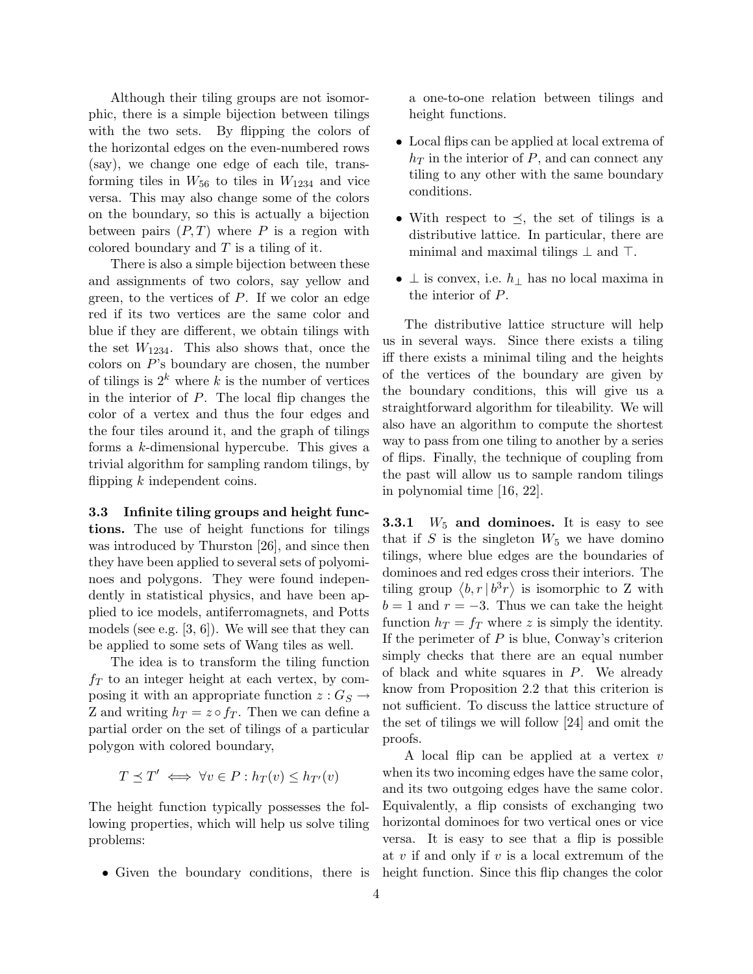Although their tiling groups are not isomorphic, there is a simple bijection between tilings with the two sets. By flipping the colors of the horizontal edges on the even-numbered rows (say), we change one edge of each tile, transforming tiles in  $W_{56}$  to tiles in  $W_{1234}$  and vice versa. This may also change some of the colors on the boundary, so this is actually a bijection between pairs  $(P, T)$  where P is a region with colored boundary and  $T$  is a tiling of it.

There is also a simple bijection between these and assignments of two colors, say yellow and green, to the vertices of  $P$ . If we color an edge red if its two vertices are the same color and blue if they are different, we obtain tilings with the set  $W_{1234}$ . This also shows that, once the colors on  $P$ 's boundary are chosen, the number of tilings is  $2^k$  where k is the number of vertices in the interior of  $P$ . The local flip changes the color of a vertex and thus the four edges and the four tiles around it, and the graph of tilings forms a k-dimensional hypercube. This gives a trivial algorithm for sampling random tilings, by flipping  $k$  independent coins.

3.3 Infinite tiling groups and height functions. The use of height functions for tilings was introduced by Thurston [26], and since then they have been applied to several sets of polyominoes and polygons. They were found independently in statistical physics, and have been applied to ice models, antiferromagnets, and Potts models (see e.g.  $[3, 6]$ ). We will see that they can be applied to some sets of Wang tiles as well.

The idea is to transform the tiling function  $f<sub>T</sub>$  to an integer height at each vertex, by composing it with an appropriate function  $z: G_S \to$ Z and writing  $h_T = z \circ f_T$ . Then we can define a partial order on the set of tilings of a particular polygon with colored boundary,

$$
T \preceq T' \iff \forall v \in P : h_T(v) \le h_{T'}(v)
$$

The height function typically possesses the following properties, which will help us solve tiling problems:

• Given the boundary conditions, there is

a one-to-one relation between tilings and height functions.

- Local flips can be applied at local extrema of  $h_T$  in the interior of P, and can connect any tiling to any other with the same boundary conditions.
- With respect to  $\preceq$ , the set of tilings is a distributive lattice. In particular, there are minimal and maximal tilings  $\perp$  and  $\top$ .
- $\perp$  is convex, i.e.  $h_{\perp}$  has no local maxima in the interior of P.

The distributive lattice structure will help us in several ways. Since there exists a tiling iff there exists a minimal tiling and the heights of the vertices of the boundary are given by the boundary conditions, this will give us a straightforward algorithm for tileability. We will also have an algorithm to compute the shortest way to pass from one tiling to another by a series of flips. Finally, the technique of coupling from the past will allow us to sample random tilings in polynomial time [16, 22].

**3.3.1**  $W_5$  and dominoes. It is easy to see that if S is the singleton  $W_5$  we have domino tilings, where blue edges are the boundaries of dominoes and red edges cross their interiors. The tiling group  $\langle b, r | b^3 r \rangle$  is isomorphic to Z with  $b = 1$  and  $r = -3$ . Thus we can take the height function  $h_T = f_T$  where z is simply the identity. If the perimeter of  $P$  is blue, Conway's criterion simply checks that there are an equal number of black and white squares in P. We already know from Proposition 2.2 that this criterion is not sufficient. To discuss the lattice structure of the set of tilings we will follow [24] and omit the proofs.

A local flip can be applied at a vertex v when its two incoming edges have the same color, and its two outgoing edges have the same color. Equivalently, a flip consists of exchanging two horizontal dominoes for two vertical ones or vice versa. It is easy to see that a flip is possible at  $v$  if and only if  $v$  is a local extremum of the height function. Since this flip changes the color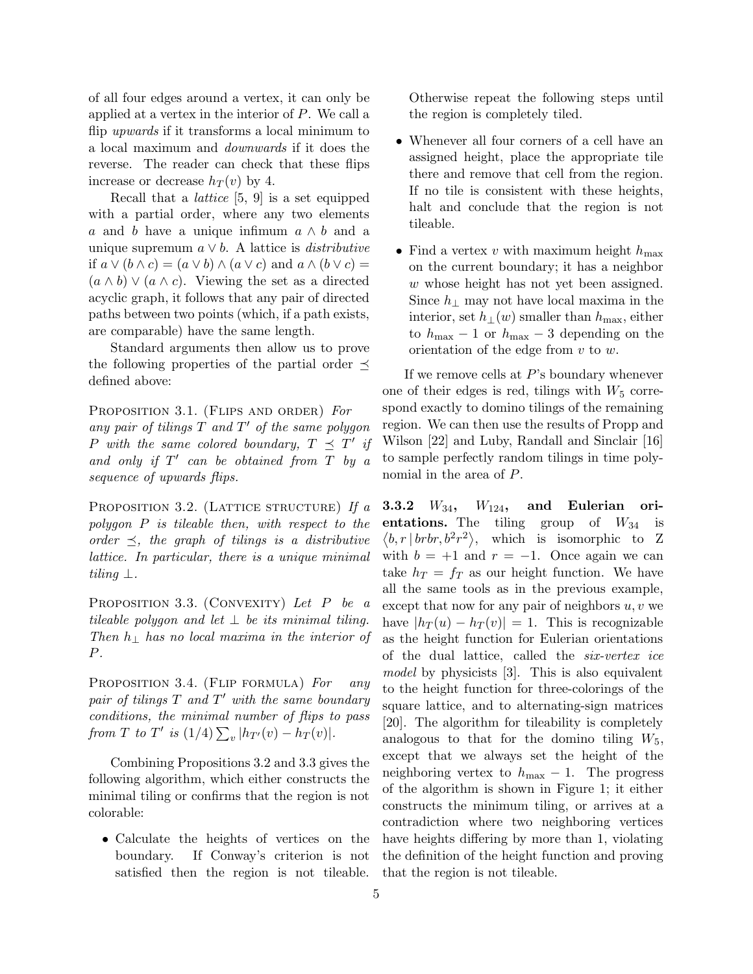of all four edges around a vertex, it can only be applied at a vertex in the interior of  $P$ . We call a flip upwards if it transforms a local minimum to a local maximum and downwards if it does the reverse. The reader can check that these flips increase or decrease  $h_T(v)$  by 4.

Recall that a lattice [5, 9] is a set equipped with a partial order, where any two elements a and b have a unique infimum  $a \wedge b$  and a unique supremum  $a \vee b$ . A lattice is *distributive* if  $a \vee (b \wedge c) = (a \vee b) \wedge (a \vee c)$  and  $a \wedge (b \vee c) =$  $(a \wedge b) \vee (a \wedge c)$ . Viewing the set as a directed acyclic graph, it follows that any pair of directed paths between two points (which, if a path exists, are comparable) have the same length.

Standard arguments then allow us to prove the following properties of the partial order  $\preceq$ defined above:

PROPOSITION 3.1. (FLIPS AND ORDER) For any pair of tilings  $T$  and  $T'$  of the same polygon P with the same colored boundary,  $T \preceq T'$  if and only if  $T'$  can be obtained from  $T$  by a sequence of upwards flips.

PROPOSITION 3.2. (LATTICE STRUCTURE) If  $a$ polygon P is tileable then, with respect to the order  $\preceq$ , the graph of tilings is a distributive lattice. In particular, there is a unique minimal tiling  $\perp$ .

PROPOSITION 3.3. (CONVEXITY) Let P be a tileable polygon and let  $\perp$  be its minimal tiling. Then  $h_{\perp}$  has no local maxima in the interior of P.

PROPOSITION 3.4. (FLIP FORMULA) For any pair of tilings  $T$  and  $T'$  with the same boundary conditions, the minimal number of flips to pass from T to T' is  $(1/4) \sum_{v} |h_{T}(v) - h_{T}(v)|$ .

Combining Propositions 3.2 and 3.3 gives the following algorithm, which either constructs the minimal tiling or confirms that the region is not colorable:

• Calculate the heights of vertices on the boundary. If Conway's criterion is not satisfied then the region is not tileable.

Otherwise repeat the following steps until the region is completely tiled.

- Whenever all four corners of a cell have an assigned height, place the appropriate tile there and remove that cell from the region. If no tile is consistent with these heights, halt and conclude that the region is not tileable.
- Find a vertex v with maximum height  $h_{\text{max}}$ on the current boundary; it has a neighbor w whose height has not yet been assigned. Since  $h_{\perp}$  may not have local maxima in the interior, set  $h_{\perp}(w)$  smaller than  $h_{\text{max}}$ , either to  $h_{\text{max}} - 1$  or  $h_{\text{max}} - 3$  depending on the orientation of the edge from  $v$  to  $w$ .

If we remove cells at P's boundary whenever one of their edges is red, tilings with  $W_5$  correspond exactly to domino tilings of the remaining region. We can then use the results of Propp and Wilson [22] and Luby, Randall and Sinclair [16] to sample perfectly random tilings in time polynomial in the area of P.

3.3.2  $W_{34}$ ,  $W_{124}$ , and Eulerian orientations. The tiling group of  $W_{34}$  is  $\langle b, r | brbr, b^2r^2 \rangle$ , which is isomorphic to Z with  $b = +1$  and  $r = -1$ . Once again we can take  $h_T = f_T$  as our height function. We have all the same tools as in the previous example, except that now for any pair of neighbors  $u, v$  we have  $|h_T(u) - h_T(v)| = 1$ . This is recognizable as the height function for Eulerian orientations of the dual lattice, called the six-vertex ice model by physicists [3]. This is also equivalent to the height function for three-colorings of the square lattice, and to alternating-sign matrices [20]. The algorithm for tileability is completely analogous to that for the domino tiling  $W_5$ , except that we always set the height of the neighboring vertex to  $h_{\text{max}} - 1$ . The progress of the algorithm is shown in Figure 1; it either constructs the minimum tiling, or arrives at a contradiction where two neighboring vertices have heights differing by more than 1, violating the definition of the height function and proving that the region is not tileable.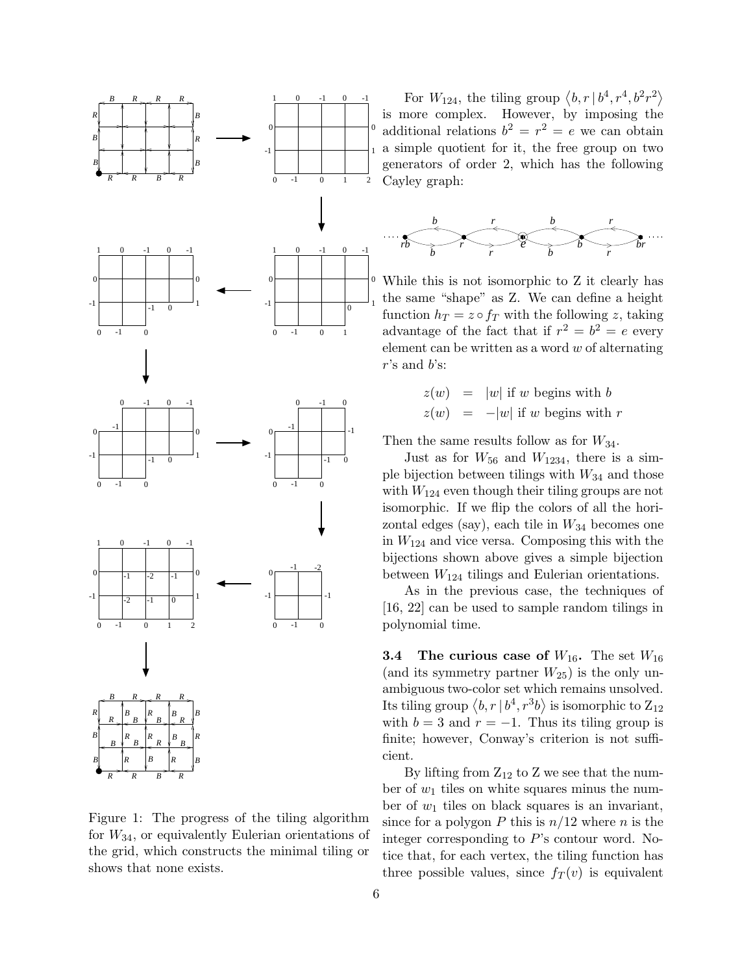

Figure 1: The progress of the tiling algorithm for  $W_{34}$ , or equivalently Eulerian orientations of the grid, which constructs the minimal tiling or shows that none exists.

1 a simple quotient for it, the free group on two For  $W_{124}$ , the tiling group  $\langle b, r | b^4, r^4, b^2 r^2 \rangle$ is more complex. However, by imposing the additional relations  $b^2 = r^2 = e$  we can obtain generators of order 2, which has the following Cayley graph:



While this is not isomorphic to Z it clearly has the same "shape" as Z. We can define a height function  $h_T = z \circ f_T$  with the following z, taking advantage of the fact that if  $r^2 = b^2 = e$  every element can be written as a word  $w$  of alternating  $r$ 's and  $b$ 's:

$$
z(w) = |w| \text{ if } w \text{ begins with } b
$$
  

$$
z(w) = -|w| \text{ if } w \text{ begins with } r
$$

Then the same results follow as for  $W_{34}$ .

Just as for  $W_{56}$  and  $W_{1234}$ , there is a simple bijection between tilings with  $W_{34}$  and those with  $W_{124}$  even though their tiling groups are not isomorphic. If we flip the colors of all the horizontal edges (say), each tile in  $W_{34}$  becomes one in  $W_{124}$  and vice versa. Composing this with the bijections shown above gives a simple bijection between  $W_{124}$  tilings and Eulerian orientations.

As in the previous case, the techniques of [16, 22] can be used to sample random tilings in polynomial time.

**3.4** The curious case of  $W_{16}$ . The set  $W_{16}$ (and its symmetry partner  $W_{25}$ ) is the only unambiguous two-color set which remains unsolved. Its tiling group  $\left\langle b,r\,|\,b^{4},r^{3}b\right\rangle$  is isomorphic to  $\text{Z}_{12}$ with  $b = 3$  and  $r = -1$ . Thus its tiling group is finite; however, Conway's criterion is not sufficient.

By lifting from  $Z_{12}$  to Z we see that the number of  $w_1$  tiles on white squares minus the number of  $w_1$  tiles on black squares is an invariant, since for a polygon P this is  $n/12$  where n is the integer corresponding to P's contour word. Notice that, for each vertex, the tiling function has three possible values, since  $f_T(v)$  is equivalent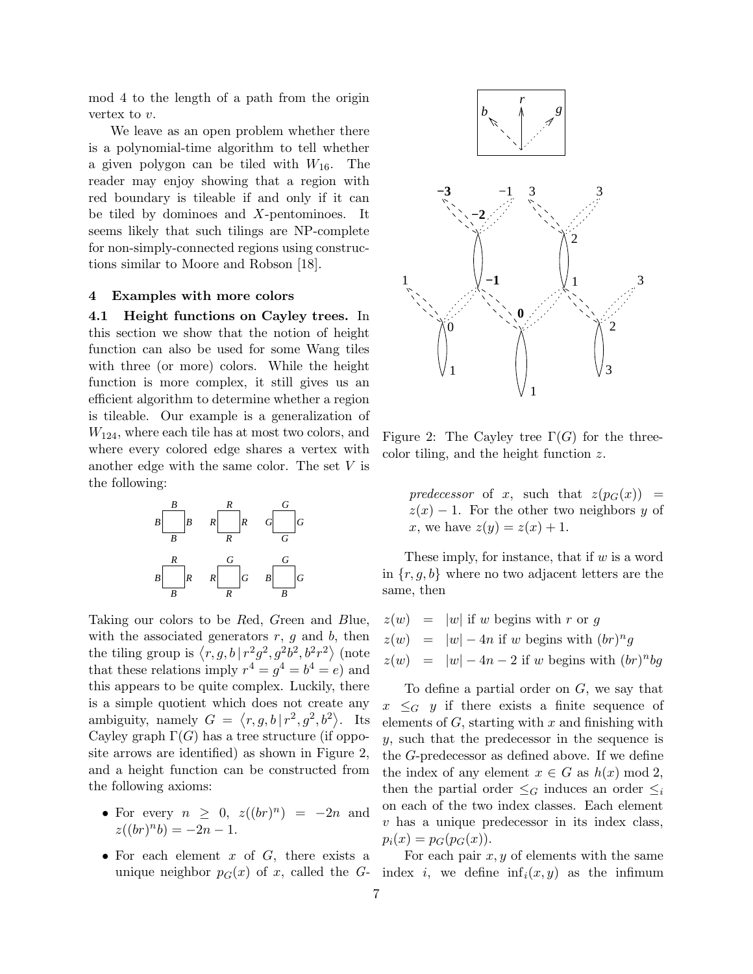mod 4 to the length of a path from the origin vertex to  $v$ .

We leave as an open problem whether there is a polynomial-time algorithm to tell whether a given polygon can be tiled with  $W_{16}$ . The reader may enjoy showing that a region with red boundary is tileable if and only if it can be tiled by dominoes and X-pentominoes. It seems likely that such tilings are NP-complete for non-simply-connected regions using constructions similar to Moore and Robson [18].

#### 4 Examples with more colors

4.1 Height functions on Cayley trees. In this section we show that the notion of height function can also be used for some Wang tiles with three (or more) colors. While the height function is more complex, it still gives us an efficient algorithm to determine whether a region is tileable. Our example is a generalization of  $W_{124}$ , where each tile has at most two colors, and where every colored edge shares a vertex with another edge with the same color. The set  $V$  is the following:



Taking our colors to be Red, Green and Blue, with the associated generators  $r, g$  and  $b$ , then the tiling group is  $\langle r, g, b | r^2 g^2, g^2 b^2, b^2 r^2 \rangle$  (note that these relations imply  $r^4 = g^4 = b^4 = e$  and this appears to be quite complex. Luckily, there is a simple quotient which does not create any ambiguity, namely  $G = \langle r, g, b | r^2, g^2, b^2 \rangle$ . Its Cayley graph  $\Gamma(G)$  has a tree structure (if opposite arrows are identified) as shown in Figure 2, and a height function can be constructed from the following axioms:

- For every  $n \geq 0$ ,  $z((br)^n) = -2n$  and  $z((br)^n b) = -2n - 1.$
- For each element  $x$  of  $G$ , there exists a unique neighbor  $p_G(x)$  of x, called the G-



Figure 2: The Cayley tree  $\Gamma(G)$  for the threecolor tiling, and the height function z.

predecessor of x, such that  $z(p_G(x)) =$  $z(x) - 1$ . For the other two neighbors y of x, we have  $z(y) = z(x) + 1$ .

These imply, for instance, that if  $w$  is a word in  $\{r, g, b\}$  where no two adjacent letters are the same, then

 $z(w) = |w|$  if w begins with r or g  $z(w) = |w| - 4n$  if w begins with  $(br)^n g$  $z(w) = |w| - 4n - 2$  if w begins with  $(br)^n b g$ 

To define a partial order on G, we say that  $x \leq_G y$  if there exists a finite sequence of elements of  $G$ , starting with  $x$  and finishing with y, such that the predecessor in the sequence is the G-predecessor as defined above. If we define the index of any element  $x \in G$  as  $h(x) \mod 2$ , then the partial order  $\leq_G$  induces an order  $\leq_i$ on each of the two index classes. Each element  $v$  has a unique predecessor in its index class,  $p_i(x) = p_G(p_G(x)).$ 

For each pair  $x, y$  of elements with the same index i, we define  $\inf_i(x, y)$  as the infimum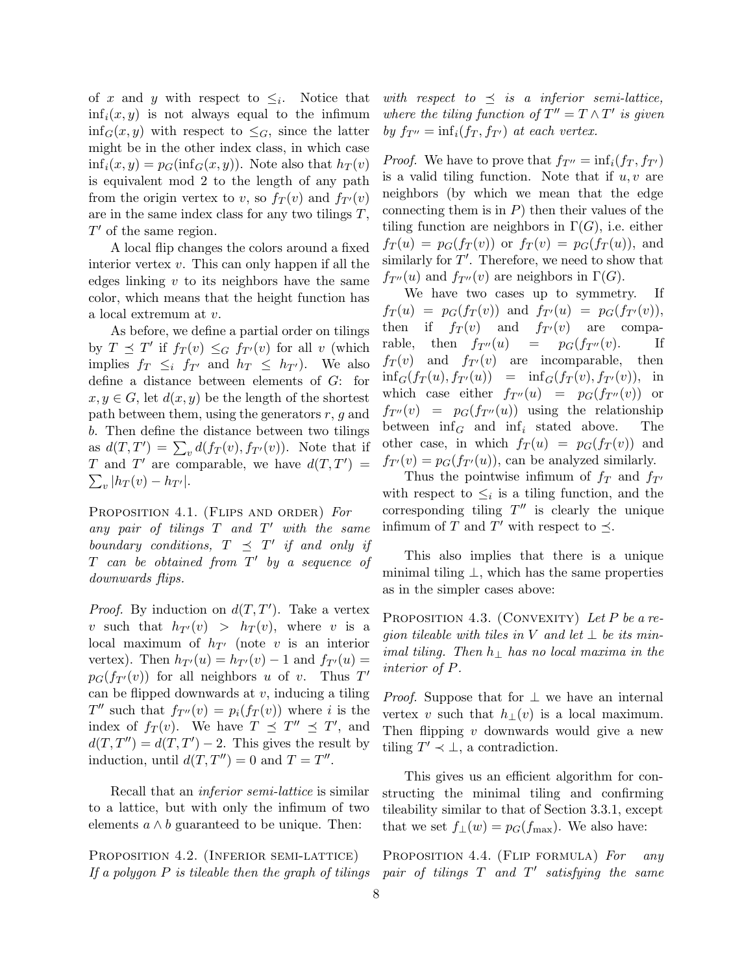of x and y with respect to  $\leq_i$ . Notice that  $\inf_i(x, y)$  is not always equal to the infimum  $\inf_G(x, y)$  with respect to  $\leq_G$ , since the latter might be in the other index class, in which case  $\inf_i(x, y) = p_G(\inf_i(x, y))$ . Note also that  $h_T(v)$ is equivalent mod 2 to the length of any path from the origin vertex to v, so  $f_T(v)$  and  $f_{T}(v)$ are in the same index class for any two tilings  $T$ ,  $T'$  of the same region.

A local flip changes the colors around a fixed interior vertex  $v$ . This can only happen if all the edges linking  $v$  to its neighbors have the same color, which means that the height function has a local extremum at v.

As before, we define a partial order on tilings by  $T \preceq T'$  if  $f_T(v) \leq_G f_{T'}(v)$  for all v (which implies  $f_T \leq_i f_{T'}$  and  $h_T \leq h_{T'}$ ). We also define a distance between elements of G: for  $x, y \in G$ , let  $d(x, y)$  be the length of the shortest path between them, using the generators  $r, q$  and b. Then define the distance between two tilings as  $d(T, T') = \sum_v d(f_T(v), f_{T'}(v))$ . Note that if T and T' are comparable, we have  $d(T, T') =$  $\sum_{v} |h_T(v) - h_{T'}|.$ 

PROPOSITION 4.1. (FLIPS AND ORDER) For any pair of tilings  $T$  and  $T'$  with the same boundary conditions,  $T \preceq T'$  if and only if  $T$  can be obtained from  $T'$  by a sequence of downwards flips.

*Proof.* By induction on  $d(T, T')$ . Take a vertex v such that  $h_{T}(v) > h_T(v)$ , where v is a local maximum of  $h_{T}$  (note v is an interior vertex). Then  $h_{T}(u) = h_{T}(v) - 1$  and  $f_{T}(u) =$  $p_G(f_{T}(v))$  for all neighbors u of v. Thus T' can be flipped downwards at  $v$ , inducing a tiling  $T''$  such that  $f_{T''}(v) = p_i(f_T(v))$  where i is the index of  $f_T(v)$ . We have  $T \preceq T'' \preceq T'$ , and  $d(T, T'') = d(T, T') - 2$ . This gives the result by induction, until  $d(T, T'') = 0$  and  $T = T''$ .

Recall that an inferior semi-lattice is similar to a lattice, but with only the infimum of two elements  $a \wedge b$  guaranteed to be unique. Then:

PROPOSITION 4.2. (INFERIOR SEMI-LATTICE) If a polygon  $P$  is tileable then the graph of tilings with respect to  $\preceq$  is a inferior semi-lattice, where the tiling function of  $T'' = T \wedge T'$  is given by  $f_{T} = \inf_i(f_T, f_{T})$  at each vertex.

*Proof.* We have to prove that  $f_{T''} = \inf_i(f_T, f_{T'})$ is a valid tiling function. Note that if  $u, v$  are neighbors (by which we mean that the edge connecting them is in  $P$ ) then their values of the tiling function are neighbors in  $\Gamma(G)$ , i.e. either  $f_T(u) = p_G(f_T(v))$  or  $f_T(v) = p_G(f_T(u))$ , and similarly for  $T'$ . Therefore, we need to show that  $f_{T''}(u)$  and  $f_{T''}(v)$  are neighbors in  $\Gamma(G)$ .

We have two cases up to symmetry. If  $f_T(u) = p_G(f_T(v))$  and  $f_{T'}(u) = p_G(f_{T'}(v)),$ then if  $f_T(v)$  and  $f_{T'}(v)$  are comparable, then  $f_{T''}(u) = p_G(f_{T''}(v))$ . If  $f_T(v)$  and  $f_{T}(v)$  are incomparable, then  $\inf_G(f_T(u), f_{T'}(u)) = \inf_G(f_T(v), f_{T'}(v)),$  in which case either  $f_{T''}(u) = p_G(f_{T''}(v))$  or  $f_{T''}(v) = p_G(f_{T''}(u))$  using the relationship between  $\inf_G$  and  $\inf_i$  stated above. The other case, in which  $f_T(u) = p_G(f_T(v))$  and  $f_{T}(v) = p_G(f_{T}(u))$ , can be analyzed similarly.

Thus the pointwise infimum of  $f_T$  and  $f_{T<sup>0</sup>}$ with respect to  $\leq_i$  is a tiling function, and the corresponding tiling  $T''$  is clearly the unique infimum of T and T' with respect to  $\preceq$ .

This also implies that there is a unique minimal tiling  $\perp$ , which has the same properties as in the simpler cases above:

PROPOSITION 4.3. (CONVEXITY) Let P be a region tileable with tiles in V and let  $\perp$  be its minimal tiling. Then  $h_{\perp}$  has no local maxima in the interior of P.

*Proof.* Suppose that for  $\perp$  we have an internal vertex v such that  $h_{\perp}(v)$  is a local maximum. Then flipping  $v$  downwards would give a new tiling  $T' \prec \bot$ , a contradiction.

This gives us an efficient algorithm for constructing the minimal tiling and confirming tileability similar to that of Section 3.3.1, except that we set  $f_{\perp}(w) = p_G(f_{\text{max}})$ . We also have:

PROPOSITION 4.4. (FLIP FORMULA) For any pair of tilings  $T$  and  $T'$  satisfying the same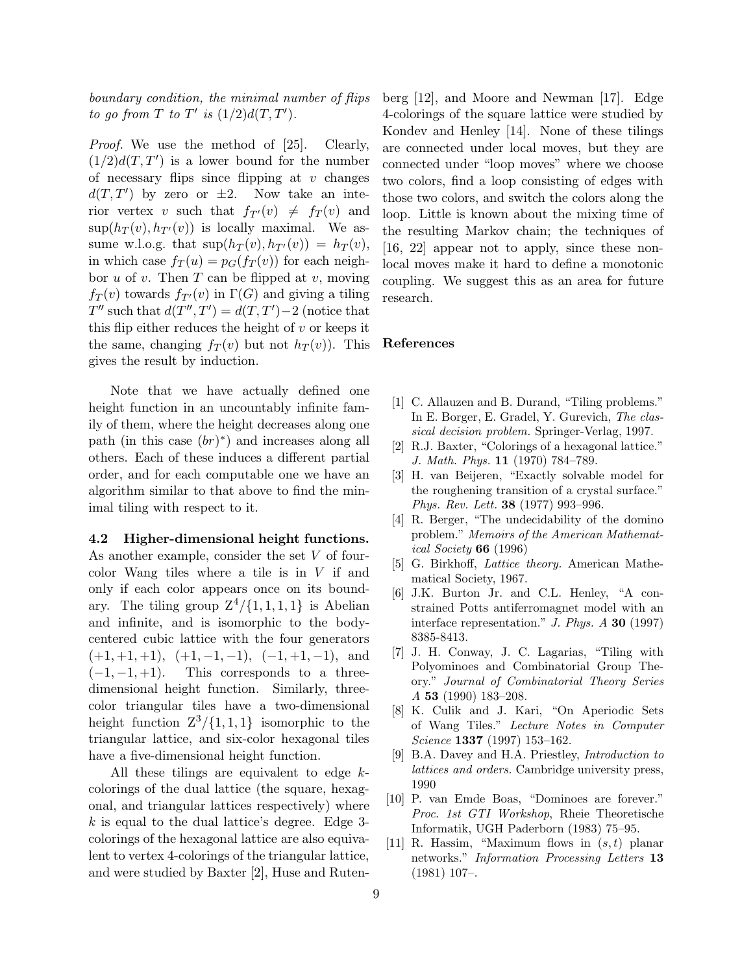boundary condition, the minimal number of flips to go from T to T' is  $(1/2)d(T,T')$ .

Proof. We use the method of [25]. Clearly,  $(1/2)d(T, T')$  is a lower bound for the number of necessary flips since flipping at  $v$  changes  $d(T, T')$  by zero or  $\pm 2$ . Now take an interior vertex v such that  $f_{T}(v) \neq f_T (v)$  and  $\sup(h_T(v), h_{T'}(v))$  is locally maximal. We assume w.l.o.g. that  $\sup(h_T(v), h_{T'}(v)) = h_T(v)$ , in which case  $f_T(u) = p_G(f_T(v))$  for each neighbor  $u$  of  $v$ . Then  $T$  can be flipped at  $v$ , moving  $f_T(v)$  towards  $f_{T}(v)$  in  $\Gamma(G)$  and giving a tiling  $T''$  such that  $d(T'', T') = d(T, T') - 2$  (notice that this flip either reduces the height of  $v$  or keeps it the same, changing  $f_T(v)$  but not  $h_T(v)$ ). This gives the result by induction.

Note that we have actually defined one height function in an uncountably infinite family of them, where the height decreases along one path (in this case  $(br)^*$ ) and increases along all others. Each of these induces a different partial order, and for each computable one we have an algorithm similar to that above to find the minimal tiling with respect to it.

4.2 Higher-dimensional height functions. As another example, consider the set V of fourcolor Wang tiles where a tile is in  $V$  if and only if each color appears once on its boundary. The tiling group  $Z^4/\{1,1,1,1\}$  is Abelian and infinite, and is isomorphic to the bodycentered cubic lattice with the four generators  $(+1, +1, +1),$   $(+1, -1, -1),$   $(-1, +1, -1),$  and  $(-1, -1, +1)$ . This corresponds to a threedimensional height function. Similarly, threecolor triangular tiles have a two-dimensional height function  $Z^3/\{1,1,1\}$  isomorphic to the triangular lattice, and six-color hexagonal tiles have a five-dimensional height function.

All these tilings are equivalent to edge kcolorings of the dual lattice (the square, hexagonal, and triangular lattices respectively) where k is equal to the dual lattice's degree. Edge 3 colorings of the hexagonal lattice are also equivalent to vertex 4-colorings of the triangular lattice, and were studied by Baxter [2], Huse and Rutenberg [12], and Moore and Newman [17]. Edge 4-colorings of the square lattice were studied by Kondev and Henley [14]. None of these tilings are connected under local moves, but they are connected under "loop moves" where we choose two colors, find a loop consisting of edges with those two colors, and switch the colors along the loop. Little is known about the mixing time of the resulting Markov chain; the techniques of [16, 22] appear not to apply, since these nonlocal moves make it hard to define a monotonic coupling. We suggest this as an area for future research.

#### References

- [1] C. Allauzen and B. Durand, "Tiling problems." In E. Borger, E. Gradel, Y. Gurevich, The classical decision problem. Springer-Verlag, 1997.
- [2] R.J. Baxter, "Colorings of a hexagonal lattice." J. Math. Phys. 11 (1970) 784–789.
- [3] H. van Beijeren, "Exactly solvable model for the roughening transition of a crystal surface." Phys. Rev. Lett. 38 (1977) 993–996.
- [4] R. Berger, "The undecidability of the domino problem." Memoirs of the American Mathematical Society 66 (1996)
- [5] G. Birkhoff, Lattice theory. American Mathematical Society, 1967.
- [6] J.K. Burton Jr. and C.L. Henley, "A constrained Potts antiferromagnet model with an interface representation."  $J. Phys. A$  30 (1997) 8385-8413.
- [7] J. H. Conway, J. C. Lagarias, "Tiling with Polyominoes and Combinatorial Group Theory." Journal of Combinatorial Theory Series A 53 (1990) 183–208.
- [8] K. Culik and J. Kari, "On Aperiodic Sets of Wang Tiles." Lecture Notes in Computer Science 1337 (1997) 153–162.
- [9] B.A. Davey and H.A. Priestley, Introduction to lattices and orders. Cambridge university press, 1990
- [10] P. van Emde Boas, "Dominoes are forever." Proc. 1st GTI Workshop, Rheie Theoretische Informatik, UGH Paderborn (1983) 75–95.
- [11] R. Hassim, "Maximum flows in  $(s,t)$  planar networks." Information Processing Letters 13 (1981) 107–.